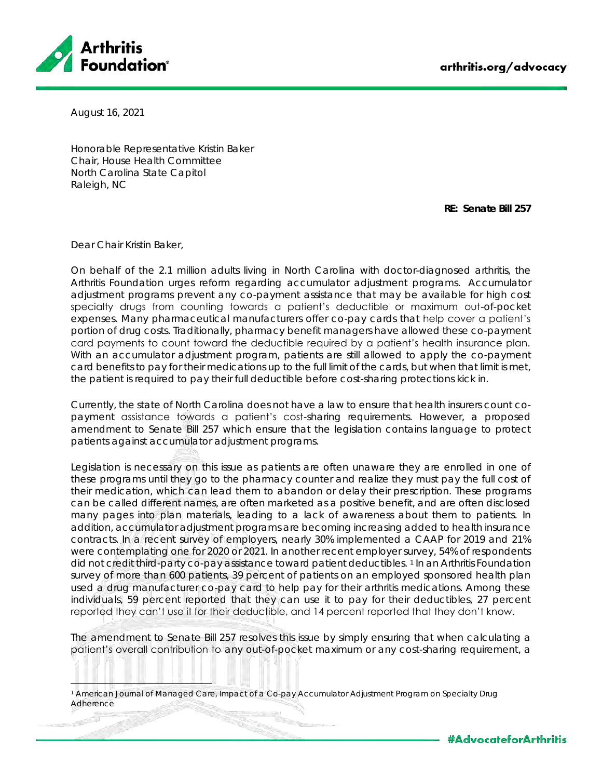

August 16, 2021

Honorable Representative Kristin Baker Chair, House Health Committee North Carolina State Capitol Raleigh, NC

**RE: Senate Bill 257**

Dear Chair Kristin Baker,

On behalf of the 2.1 million adults living in North Carolina with doctor-diagnosed arthritis, the Arthritis Foundation urges reform regarding accumulator adjustment programs. Accumulator adjustment programs prevent any co-payment assistance that may be available for high cost specialty drugs from counting towards a patient's deductible or maximum out-of-pocket expenses. Many pharmaceutical manufacturers offer co-pay cards that help cover a patient's portion of drug costs. Traditionally, pharmacy benefit managers have allowed these co-payment card payments to count toward the deductible required by a patient's health insurance plan. With an accumulator adjustment program, patients are still allowed to apply the co-payment card benefits to pay for their medications up to the full limit of the cards, but when that limit is met, the patient is required to pay their full deductible before cost-sharing protections kick in.

Currently, the state of North Carolina does not have a law to ensure that health insurers count copayment assistance towards a patient's cost-sharing requirements. However, a proposed amendment to Senate Bill 257 which ensure that the legislation contains language to protect patients against accumulator adjustment programs.

Legislation is necessary on this issue as patients are often unaware they are enrolled in one of these programs until they go to the pharmacy counter and realize they must pay the full cost of their medication, which can lead them to abandon or delay their prescription. These programs can be called different names, are often marketed as a positive benefit, and are often disclosed many pages into plan materials, leading to a lack of awareness about them to patients. In addition, accumulator adjustment programs are becoming increasing added to health insurance contracts. In a recent survey of employers, nearly 30% implemented a CAAP for 2019 and 21% were contemplating one for 2020 or 2021. In another recent employer survey, 54% of respondents did not credit third-party co-pay assistance toward patient deductibles. <sup>1</sup> In an Arthritis Foundation survey of more than 600 patients, 39 percent of patients on an employed sponsored health plan used a drug manufacturer co-pay card to help pay for their arthritis medications. Among these individuals, 59 percent reported that they can use it to pay for their deductibles, 27 percent reported they can't use it for their deductible, and 14 percent reported that they don't know.

The amendment to Senate Bill 257 resolves this issue by simply ensuring that when calculating a patient's overall contribution to any out-of-pocket maximum or any cost-sharing requirement, a

American Journal of Managed Care, Impact of a Co-pay Accumulator Adjustment Program on Specialty Drug Adherence